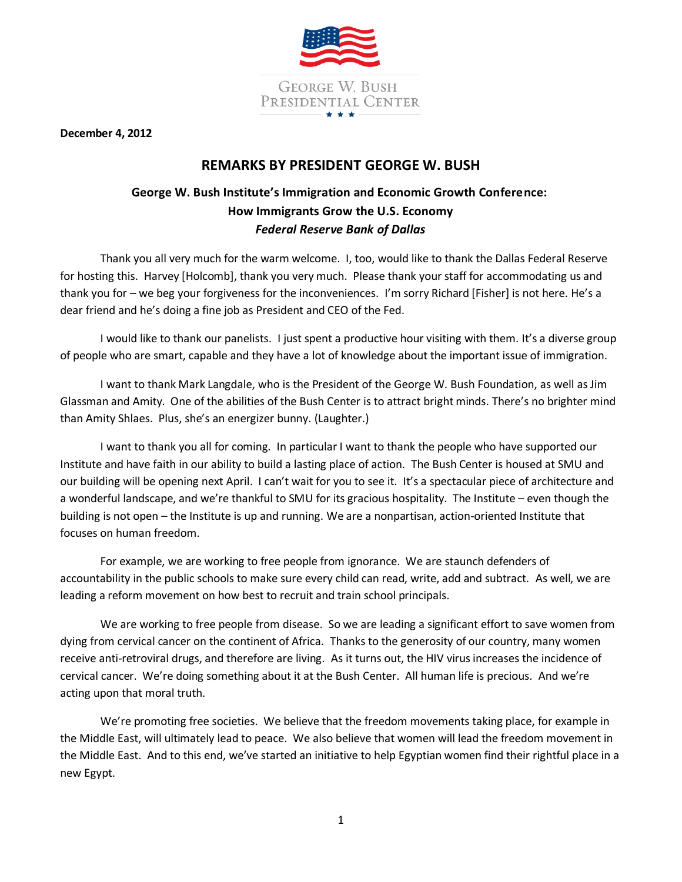

**December 4, 2012**

## **REMARKS BY PRESIDENT GEORGE W. BUSH**

## **George W. Bush Institute's Immigration and Economic Growth Conference: How Immigrants Grow the U.S. Economy** *Federal Reserve Bank of Dallas*

Thank you all very much for the warm welcome. I, too, would like to thank the Dallas Federal Reserve for hosting this. Harvey [Holcomb], thank you very much. Please thank your staff for accommodating us and thank you for – we beg your forgiveness for the inconveniences. I'm sorry Richard [Fisher] is not here. He's a dear friend and he's doing a fine job as President and CEO of the Fed.

I would like to thank our panelists. I just spent a productive hour visiting with them. It's a diverse group of people who are smart, capable and they have a lot of knowledge about the important issue of immigration.

I want to thank Mark Langdale, who is the President of the George W. Bush Foundation, as well as Jim Glassman and Amity. One of the abilities of the Bush Center is to attract bright minds. There's no brighter mind than Amity Shlaes. Plus, she's an energizer bunny. (Laughter.)

I want to thank you all for coming. In particular I want to thank the people who have supported our Institute and have faith in our ability to build a lasting place of action. The Bush Center is housed at SMU and our building will be opening next April. I can't wait for you to see it. It's a spectacular piece of architecture and a wonderful landscape, and we're thankful to SMU for its gracious hospitality. The Institute – even though the building is not open – the Institute is up and running. We are a nonpartisan, action-oriented Institute that focuses on human freedom.

For example, we are working to free people from ignorance. We are staunch defenders of accountability in the public schools to make sure every child can read, write, add and subtract. As well, we are leading a reform movement on how best to recruit and train school principals.

We are working to free people from disease. So we are leading a significant effort to save women from dying from cervical cancer on the continent of Africa. Thanks to the generosity of our country, many women receive anti-retroviral drugs, and therefore are living. As it turns out, the HIV virus increases the incidence of cervical cancer. We're doing something about it at the Bush Center. All human life is precious. And we're acting upon that moral truth.

We're promoting free societies. We believe that the freedom movements taking place, for example in the Middle East, will ultimately lead to peace. We also believe that women will lead the freedom movement in the Middle East. And to this end, we've started an initiative to help Egyptian women find their rightful place in a new Egypt.